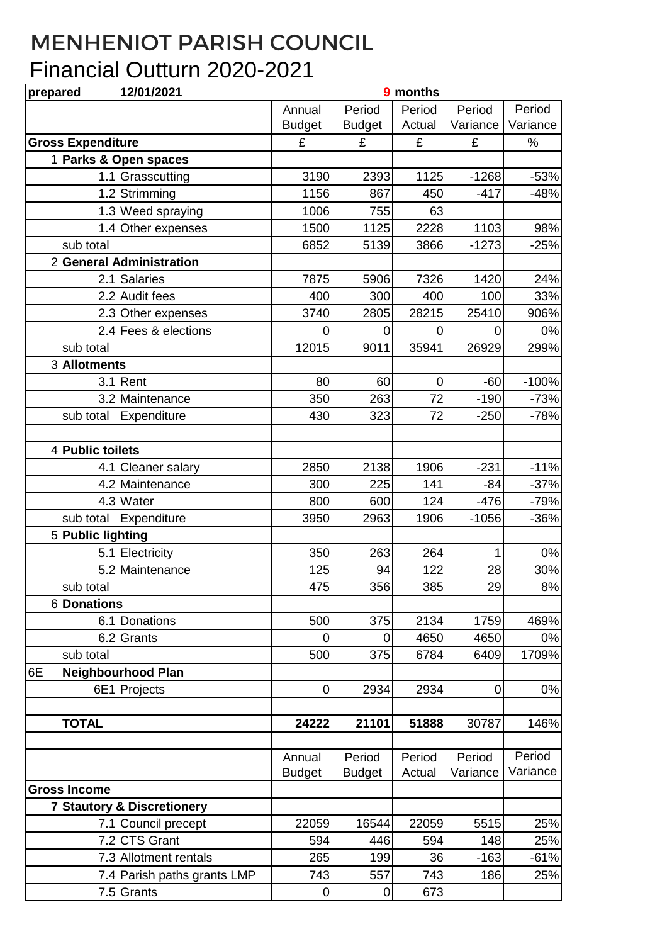## MENHENIOT PARISH COUNCIL Financial Outturn 2020-2021

| prepared |                          | 12/01/2021                  | 9 months      |               |             |                |          |
|----------|--------------------------|-----------------------------|---------------|---------------|-------------|----------------|----------|
|          |                          |                             | Annual        | Period        | Period      | Period         | Period   |
|          |                          |                             | <b>Budget</b> | <b>Budget</b> | Actual      | Variance       | Variance |
|          | <b>Gross Expenditure</b> |                             | £             | £             | £           | £              | $\%$     |
|          |                          | 1 Parks & Open spaces       |               |               |             |                |          |
|          |                          | 1.1 Grasscutting            | 3190          | 2393          | 1125        | $-1268$        | $-53%$   |
|          |                          | 1.2 Strimming               | 1156          | 867           | 450         | $-417$         | $-48%$   |
|          |                          | 1.3 Weed spraying           | 1006          | 755           | 63          |                |          |
|          |                          | 1.4 Other expenses          | 1500          | 1125          | 2228        | 1103           | 98%      |
|          | sub total                |                             | 6852          | 5139          | 3866        | $-1273$        | $-25%$   |
|          |                          | 2 General Administration    |               |               |             |                |          |
|          | 2.1                      | Salaries                    | 7875          | 5906          | 7326        | 1420           | 24%      |
|          |                          | 2.2 Audit fees              | 400           | 300           | 400         | 100            | 33%      |
|          |                          | 2.3 Other expenses          | 3740          | 2805          | 28215       | 25410          | 906%     |
|          |                          | 2.4 Fees & elections        | 0             | $\mathbf 0$   | 0           | $\overline{0}$ | 0%       |
|          | sub total                |                             | 12015         | 9011          | 35941       | 26929          | 299%     |
|          | 3 Allotments             |                             |               |               |             |                |          |
|          |                          | $3.1$ Rent                  | 80            | 60            | $\mathbf 0$ | $-60$          | $-100%$  |
|          |                          | 3.2 Maintenance             | 350           | 263           | 72          | $-190$         | $-73%$   |
|          | sub total                | Expenditure                 | 430           | 323           | 72          | $-250$         | $-78%$   |
|          |                          |                             |               |               |             |                |          |
|          | 4 Public toilets         |                             |               |               |             |                |          |
|          |                          | 4.1 Cleaner salary          | 2850          | 2138          | 1906        | $-231$         | $-11%$   |
|          |                          | 4.2 Maintenance             | 300           | 225           | 141         | $-84$          | $-37%$   |
|          |                          | 4.3 Water                   | 800           | 600           | 124         | $-476$         | $-79%$   |
|          | sub total                | Expenditure                 | 3950          | 2963          | 1906        | $-1056$        | $-36%$   |
|          | 5 Public lighting        |                             |               |               |             |                |          |
|          |                          | 5.1 Electricity             | 350           | 263           | 264         | 1              | $0\%$    |
|          |                          | 5.2 Maintenance             | 125           | 94            | 122         | 28             | 30%      |
|          | sub total                |                             | 475           | 356           | 385         | 29             | 8%       |
|          | 6Donations               |                             |               |               |             |                |          |
|          |                          | 6.1 Donations               | 500           | 375           | 2134        | 1759           | 469%     |
|          |                          | 6.2 Grants                  | 0             | 0             | 4650        | 4650           | 0%       |
|          | sub total                |                             | 500           | 375           | 6784        | 6409           | 1709%    |
| 6E       |                          | <b>Neighbourhood Plan</b>   |               |               |             |                |          |
|          |                          | 6E1 Projects                | $\pmb{0}$     | 2934          | 2934        | $\mathbf 0$    | 0%       |
|          |                          |                             |               |               |             |                |          |
|          | <b>TOTAL</b>             |                             | 24222         | 21101         | 51888       | 30787          | 146%     |
|          |                          |                             |               |               |             |                |          |
|          |                          |                             | Annual        | Period        | Period      | Period         | Period   |
|          |                          |                             | <b>Budget</b> | <b>Budget</b> | Actual      | Variance       | Variance |
|          | <b>Gross Income</b>      |                             |               |               |             |                |          |
|          |                          | 7 Stautory & Discretionery  |               |               |             |                |          |
|          |                          | 7.1 Council precept         | 22059         | 16544         | 22059       | 5515           | 25%      |
|          |                          | 7.2 CTS Grant               | 594           | 446           | 594         | 148            | 25%      |
|          |                          | 7.3 Allotment rentals       | 265           | 199           | 36          | $-163$         | $-61%$   |
|          |                          | 7.4 Parish paths grants LMP | 743           | 557           | 743         | 186            | 25%      |
|          |                          | 7.5 Grants                  | 0             | $\mathbf 0$   | 673         |                |          |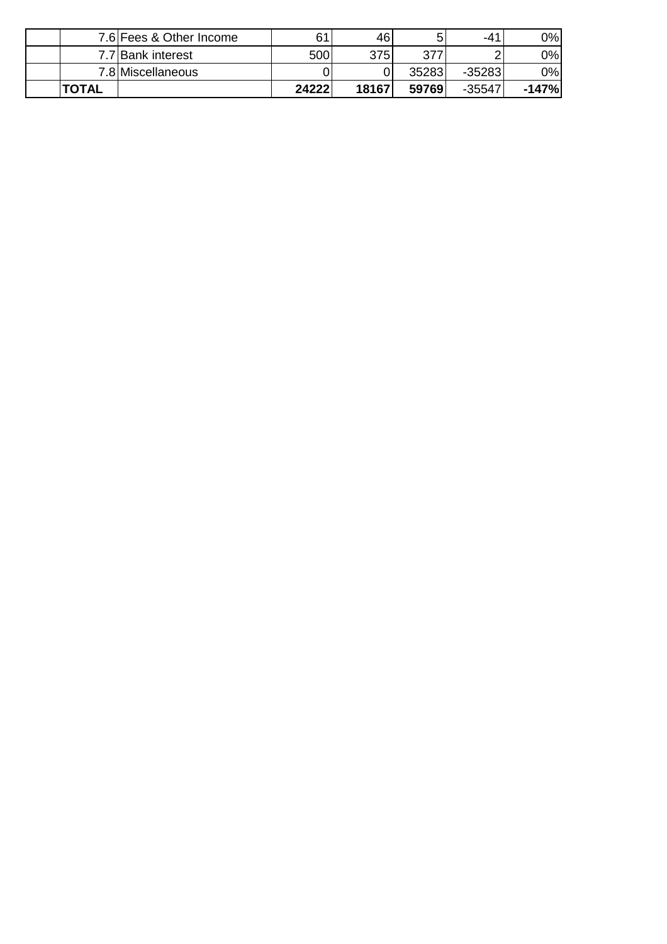|              | 7.6 Fees & Other Income | 61    | 461   | 5     | $-41$    | 0%      |
|--------------|-------------------------|-------|-------|-------|----------|---------|
|              | 7.7 Bank interest       | 500   | 375I  | 277   |          | 0%      |
|              | 7.8 Miscellaneous       |       |       | 35283 | $-35283$ | 0%      |
| <b>TOTAL</b> |                         | 24222 | 18167 | 59769 | $-35547$ | $-147%$ |